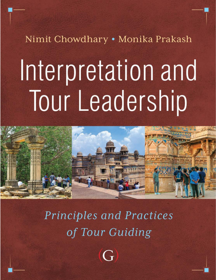Nimit Chowdhary . Monika Prakash

# Interpretation and Tour Leadership



**Principles and Practices** of Tour Guiding

 $\bigcap$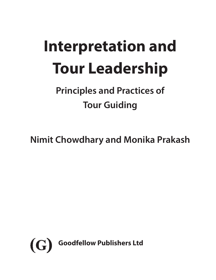## <span id="page-1-0"></span>**Interpretation and Tour Leadership**

### **Principles and Practices of Tour Guiding**

**Nimit Chowdhary and Monika Prakash**

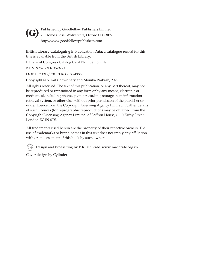<span id="page-2-0"></span>

Published by Goodfellow Publishers Limited, 26 Home Close, Wolvercote, Oxford OX2 8PS **(G)**http://www.goodfellowpublishers.com

British Library Cataloguing in Publication Data: a catalogue record for this title is available from the British Library.

Library of Congress Catalog Card Number: on file.

ISBN: 978-1-911635-97-0

DOI: 10.23912/9781911635956-4986

Copyright © Nimit Chowdhary and Monika Prakash, 2022

All rights reserved. The text of this publication, or any part thereof, may not be reproduced or transmitted in any form or by any means, electronic or mechanical, including photocopying, recording, storage in an information retrieval system, or otherwise, without prior permission of the publisher or under licence from the Copyright Licensing Agency Limited. Further details of such licences (for reprographic reproduction) may be obtained from the Copyright Licensing Agency Limited, of Saffron House, 6–10 Kirby Street, London EC1N 8TS.

All trademarks used herein are the property of their repective owners, The use of trademarks or brand names in this text does not imply any affiliation with or endorsement of this book by such owners.

 $\bigcirc$  Design and typesetting by P.K. McBride, www.macbride.org.uk

Cover design by Cylinder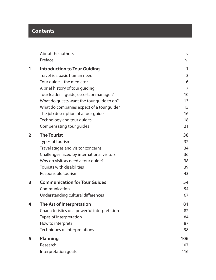#### <span id="page-3-0"></span>**Contents**

|                         | About the authors                            | $\vee$         |
|-------------------------|----------------------------------------------|----------------|
|                         | Preface                                      | vi             |
| 1                       | <b>Introduction to Tour Guiding</b>          | 1              |
|                         | Travel is a basic human need                 | 3              |
|                         | Tour guide - the mediator                    | 6              |
|                         | A brief history of tour guiding              | $\overline{7}$ |
|                         | Tour leader - guide, escort, or manager?     | 10             |
|                         | What do guests want the tour guide to do?    | 13             |
|                         | What do companies expect of a tour guide?    | 15             |
|                         | The job description of a tour guide          | 16             |
|                         | Technology and tour guides                   | 18             |
|                         | Compensating tour guides                     | 21             |
| $\overline{\mathbf{2}}$ | <b>The Tourist</b>                           | 30             |
|                         | Types of tourism                             | 32             |
|                         | Travel stages and visitor concerns           | 34             |
|                         | Challenges faced by international visitors   | 36             |
|                         | Why do visitors need a tour guide?           | 38             |
|                         | Tourists with disabilities                   | 39             |
|                         | Responsible tourism                          | 43             |
| 3                       | <b>Communication for Tour Guides</b>         | 54             |
|                         | Communication                                | 54             |
|                         | Understanding cultural differences           | 67             |
| 4                       | The Art of Interpretation                    | 81             |
|                         | Characteristics of a powerful interpretation | 82             |
|                         | Types of interpretation                      | 84             |
|                         | How to interpret?                            | 87             |
|                         | Techniques of interpretations                | 98             |
| 5                       | Planning                                     | 106            |
|                         | Research                                     | 107            |
|                         | Interpretation goals                         | 116            |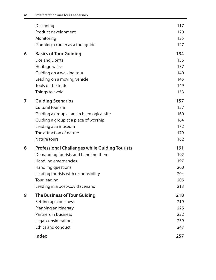<span id="page-4-0"></span>

|   | Designing                                             | 117 |
|---|-------------------------------------------------------|-----|
|   | Product development                                   | 120 |
|   | Monitoring                                            | 125 |
|   | Planning a career as a tour guide                     | 127 |
| 6 | <b>Basics of Tour Guiding</b>                         | 134 |
|   | Dos and Don'ts                                        | 135 |
|   | Heritage walks                                        | 137 |
|   | Guiding on a walking tour                             | 140 |
|   | Leading on a moving vehicle                           | 145 |
|   | Tools of the trade                                    | 149 |
|   | Things to avoid                                       | 153 |
| 7 | <b>Guiding Scenarios</b>                              | 157 |
|   | Cultural tourism                                      | 157 |
|   | Guiding a group at an archaeological site             | 160 |
|   | Guiding a group at a place of worship                 | 164 |
|   | Leading at a museum                                   | 172 |
|   | The attraction of nature                              | 179 |
|   | Nature tours                                          | 182 |
| 8 | <b>Professional Challenges while Guiding Tourists</b> | 191 |
|   | Demanding tourists and handling them                  | 192 |
|   | Handling emergencies                                  | 197 |
|   | Handling questions                                    | 200 |
|   | Leading tourists with responsibility                  | 204 |
|   | Tour leading                                          | 205 |
|   | Leading in a post-Covid scenario                      | 213 |
| 9 | <b>The Business of Tour Guiding</b>                   | 218 |
|   | Setting up a business                                 | 219 |
|   | Planning an itinerary                                 | 225 |
|   | Partners in business                                  | 232 |
|   | Legal considerations                                  | 239 |
|   | Ethics and conduct                                    | 247 |
|   | <b>Index</b>                                          | 257 |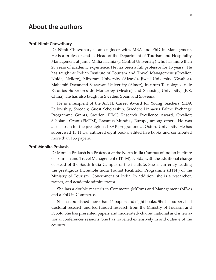#### <span id="page-5-0"></span>**About the authors**

#### **Prof. Nimit Chowdhary**

Dr Nimit Chowdhary is an engineer with, MBA and PhD in Management. He is a professor and ex-Head of the Department of Tourism and Hospitality Management at Jamia Millia Islamia (a Central University) who has more than 28 years of academic experience. He has been a full professor for 15 years. He has taught at Indian Institute of Tourism and Travel Management (Gwalior, Noida, Nellore), Mizoram University (Aizawl), Jiwaji University (Gwalior), Maharshi Dayanand Saraswati University (Ajmer), Instituto Tecnológico y de Estudios Superiores de Monterrey (México) and Shaoxing University, (P.R. China). He has also taught in Sweden, Spain and Slovenia.

He is a recipient of the AICTE Career Award for Young Teachers; SIDA Fellowship, Sweden; Guest Scholarship, Sweden; Linnaeus Palme Exchange Programme Grants, Sweden; PIMG Research Excellence Award, Gwalior; Scholars' Grant (EMTM), Erasmus Mundus, Europe, among others. He was also chosen for the prestigious LEAP programme at Oxford University. He has supervised 15 PhDs, authored eight books, edited five books and contributed more than 155 papers.

#### **Prof. Monika Prakash**

Dr Monika Prakash is a Professor at the North India Campus of Indian Institute of Tourism and Travel Management (IITTM), Noida, with the additional charge of Head of the South India Campus of the institute. She is currently leading the prestigious Incredible India Tourist Facilitator Programme (IITFP) of the Ministry of Tourism, Government of India. In addition, she is a researcher, trainer, and academic administrator.

She has a double master's in Commerce (MCom) and Management (MBA) and a PhD in Commerce.

She has published more than 45 papers and eight books. She has supervised doctoral research and led funded research from the Ministry of Tourism and ICSSR. She has presented papers and moderated/ chaired national and international conferences sessions. She has travelled extensively in and outside of the country.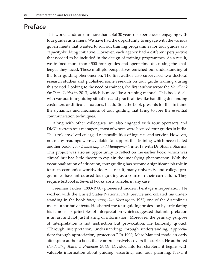#### <span id="page-6-0"></span>**Preface**

This work stands on our more than total 30 years of experience of engaging with tour guides as trainers. We have had the opportunity to engage with the various governments that wanted to roll out training programmes for tour guides as a capacity-building initiative. However, each agency had a different perspective that needed to be included in the design of training programmes. As a result, we trained more than 4500 tour guides and spent time discussing the challenges they faced. These multiple perspectives enriched our understanding of the tour guiding phenomenon. The first author also supervised two doctoral research studies and published some research on tour guide training during this period. Looking to the need of trainees, the first author wrote the *Handbook for Tour Guides* in 2013, which is more like a training manual. This book deals with various tour guiding situations and practicalities like handling demanding customers or difficult situations. In addition, the book presents for the first time the dynamics and mechanics of tour guiding that bring to fore the essential communication techniques.

Along with other colleagues, we also engaged with tour operators and DMCs to train tour managers, most of whom were licensed tour guides in India. Their role involved enlarged responsibilities of logistics and service. However, not many readings were available to support this training which necessitated another book, *Tour Leadership and Management*, in 2018 with Dr Shailja Sharma. This project was also an opportunity to reflect on the earlier book, which was clinical but had little theory to explain the underlying phenomenon. With the vocationalisation of education, tour guiding has become a significant job role in tourism economies worldwide. As a result, many university and college programmes have introduced tour guiding as a course in their curriculum. They require textbooks. Several books are available, in any case.

Freeman Tilden (1883-1980) pioneered modern heritage interpretation. He worked with the United States National Park Service and collated his understanding in the book *Interpreting Our Heritage* in 1957, one of the discipline's most authoritative texts. He shaped the tour guiding profession by articulating his famous six principles of interpretation which suggested that interpretation is an art and not just sharing of information. Moreover, the primary purpose of interpretation is not instruction but provocation. He famously quoted, "Through interpretation, understanding; through understanding, appreciation; through appreciation, protection." In 1990, Marc Mancini made an early attempt to author a book that comprehensively covers the subject. He authored *Conducting Tours: A Practical Guide*. Divided into ten chapters, it begins with valuable information about guiding, escorting, and tour planning. Next, it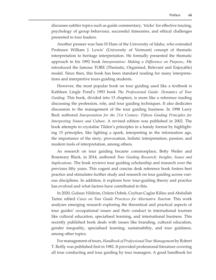<span id="page-7-0"></span>discusses subtler topics such as guide commentary, 'tricks' for effective touring, psychology of group behaviour, successful itineraries, and ethical challenges presented to tour leaders.

Another pioneer was Sam H Ham of the University of Idaho, who extended Professor William J. Lewis' (University of Vermont) concept of thematic interpretation to heritage interpretation. He formally presented the thematic approach in his 1992 book *Interpretation: Making a Difference on Purpose*,. He introduced the famous TORE (Thematic, Organised, Relevant and Enjoyable) model. Since then, this book has been standard reading for many interpretations and interpretive tours guiding students.

However, the most popular book on tour guiding used like a textbook is Kathleen Lingle Pond's 1993 book *The Professional Guide: Dynamics of Tour Guiding*. This book, divided into 13 chapters, is more like a reference reading discussing the profession, role, and tour guiding techniques. It also dedicates discussion to the management of the tour guiding business. In 1998 Larry Beck authored *Interpretation for the 21st Century: Fifteen Guiding Principles for Interpreting Nature and Culture*. A revised edition was published in 2002. The book attempts to crystalise Tilden's principles in a handy format by highlighting 15 principles, like lighting a spark, interpreting in the information age, the importance of the story, provocation, holistic interpretation, passion, and modern tools of interpretation, among others.

As research on tour guiding became commonplace, Betty Weiler and Rosemary Black, in 2014, authored *Tour Guiding Research: Insights, Issues and Implications*. The book reviews tour guiding scholarship and research over the previous fifty years. This cogent and concise desk reference book fosters best practice and stimulates further study and research on tour guiding across various disciplines. In addition, it explores how tour-guiding theory and practice has evolved and what factors have contributed to this.

In 2020, Gulsun Yildirim, Ozlem Ozbek, Ceyhun Caglar Kilinc and Abdullah Tarinc edited *Cases on Tour Guide Practices for Alternative Tourism*. This work analyses emerging research exploring the theoretical and practical aspects of tour guides' occupational issues and their conduct in international tourism like cultural education, specialised learning, and international business. This recently published book deals with issues like branding, cultural education, gender inequality, specialised learning, sustainability, and tour guidance, among other topics.

For management of tours, *Handbook of Professional Tour Management* by Robert T. Reilly was published first in 1982. It provided professional literature covering all tour conducting and tour guiding by tour managers. A good handbook for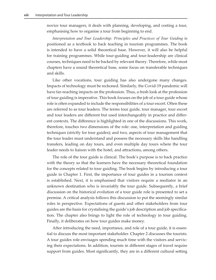<span id="page-8-0"></span>novice tour managers, it deals with planning, developing, and costing a tour, emphasising how to organise a tour from beginning to end.

*Interpretation and Tour Leadership: Principles and Practices of Tour Guiding* is positioned as a textbook to back teaching in tourism programmes. The book is intended to have a solid theoretical base. However, it will also be helpful for training programmes. While tour-guiding and tour-leadership are clinical courses, techniques need to be backed by relevant theory. Therefore, while most chapters have a sound theoretical base, some focus on transferable techniques and skills.

Like other vocations, tour guiding has also undergone many changes. Impacts of technology must be reckoned. Similarly, the Covid-19 pandemic will have far-reaching impacts on the profession. Thus, a fresh look at the profession of tour guiding is imperative. This book focuses on the job of a tour guide whose role is often expanded to include the responsibilities of a tour escort. Often these are referred to as tour leaders. The terms tour guide, tour manager, tour escort and tour leaders are different but used interchangeably in practice and different contexts. The difference is highlighted in one of the discussions. This work, therefore, touches two dimensions of the role: one, interpretation and guiding techniques (strictly for tour guides); and two, aspects of tour management that the tour leader must understand and possess the necessary skills like handling transfers, leading on day tours, and even multiple day tours where the tour leader needs to liaison with the hotel, and attractions, among others.

The role of the tour guide is clinical. The book's purpose is to back practice with the theory so that the learners have the necessary theoretical foundation for the concepts related to tour guiding. The book begins by introducing a tour guide in Chapter 1. First, the importance of tour guides in a tourism context is established. Next, it is emphasised that visitors require a mediator in an unknown destination who is invariably the tour guide. Subsequently, a brief discussion on the historical evolution of a tour guide role is presented to set a premise. A critical analysis follows this discussion to put the seemingly similar roles in perspective. Expectations of guests and other stakeholders from tour guides are the basis for crystalising the guide's job description and job specification. The chapter also brings to light the role of technology in tour guiding. Finally, it deliberates on how tour guides make money.

After introducing the need, importance, and role of a tour guide, it is essential to discuss the most important stakeholder. Chapter 2 discusses the tourists. A tour guides role envisages spending much time with the visitors and servicing their expectations. In addition, tourists in different stages of travel require support from guides. Most significantly, they are in a different cultural setting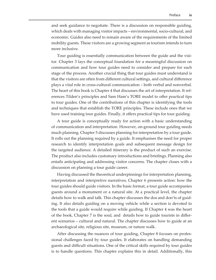<span id="page-9-0"></span>and seek guidance to negotiate. There is a discussion on responsible guiding, which deals with managing visitor impacts – environmental, socio-cultural, and economic. Guides also need to remain aware of the requirements of the limited mobility guests. These visitors are a growing segment as tourism intends to turn more inclusive.

Tour guiding is essentially communication between the guide and the visitor. Chapter 3 lays the conceptual foundation for a meaningful discussion on communication and how tour guides need to consider and prepare for each stage of the process. Another crucial thing that tour guides must understand is that the visitors are often from different cultural settings, and cultural difference plays a vital role in cross-cultural communication – both verbal and nonverbal. The heart of this book is Chapter 4 that discusses the art of interpretation. It references Tilden's principles and Sam Ham's TORE model to offer practical tips to tour guides. One of the contributions of this chapter is identifying the tools and techniques that establish the TORE principles. These include ones that we have used training tour guides. Finally, it offers practical tips for tour guiding.

A tour guide is conceptually ready for action with a basic understanding of communication and interpretation. However, on-ground tour guiding needs much planning. Chapter 5 discusses planning for interpretation by a tour guide. It rolls out the planning required by a guide. It emphasises the need for proper research to identify interpretation goals and subsequent message design for the targeted audience. A detailed itinerary is the product of such an exercise. The product also includes customary introductions and briefings. Planning also entails anticipating and addressing visitor concerns. The chapter closes with a discussion on planning a tour guide career.

Having discussed the theoretical underpinnings for interpretation planning, interpretation and interpretive narratives, Chapter 6 presents action: how the tour guides should guide visitors. In the basic format, a tour guide accompanies guests around a monument or a natural site. At a practical level, the chapter details how to walk and talk. This chapter discusses the dos and don'ts of guiding. It also details guiding on a moving vehicle while a section is devoted to the tools that a guide would require while guiding. If Chapter 4 was the heart of the book, Chapter 7 is the soul, and details how to guide tourists in different scenarios – cultural and natural. The chapter discusses how to guide at an archaeological site, religious site, museum, or nature walk.

After discussing the nuances of tour guiding, Chapter 8 focuses on professional challenges faced by tour guides. It elaborates on handling demanding guests and difficult situations. One of the critical skills required by tour guides is to handle questions. This chapter explains this in detail. Additionally, this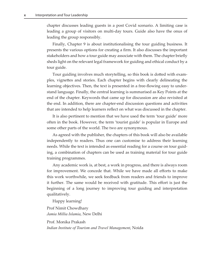<span id="page-10-0"></span>chapter discusses leading guests in a post Covid scenario. A limiting case is leading a group of visitors on multi-day tours. Guide also have the onus of leading the group responsibly.

Finally, Chapter 9 is about institutionalising the tour guiding business. It presents the various options for creating a firm. It also discusses the important stakeholders and how a tour guide may associate with them. The chapter briefly sheds light on the relevant legal framework for guiding and ethical conduct by a tour guide.

Tour guiding involves much storytelling, so this book is dotted with examples, vignettes and stories. Each chapter begins with clearly delineating the learning objectives. Then, the text is presented in a free-flowing easy to understand language. Finally, the central learning is summarised as Key Points at the end of the chapter. Keywords that came up for discussion are also revisited at the end. In addition, there are chapter-end discussion questions and activities that are intended to help learners reflect on what was discussed in the chapter.

It is also pertinent to mention that we have used the term 'tour guide' more often in the book. However, the term 'tourist guide' is popular in Europe and some other parts of the world. The two are synonymous.

As agreed with the publisher, the chapters of this book will also be available independently to readers. Thus one can customise to address their learning needs. While the text is intended as essential reading for a course on tour guiding, a combination of chapters can be used as training material for tour guide training programmes.

Any academic work is, at best, a work in progress, and there is always room for improvement. We concede that. While we have made all efforts to make this work worthwhile, we seek feedback from readers and friends to improve it further. The same would be received with gratitude. This effort is just the beginning of a long journey to improving tour guiding and interpretation qualitatively.

Happy learning!

Prof Nimit Chowdhary *Jamia Millia Islamia*, New Delhi

Prof. Monika Prakash *Indian Institute of Tourism and Travel Management*, Noida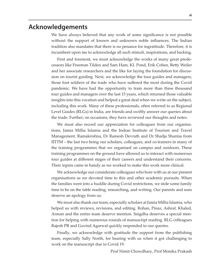#### <span id="page-11-0"></span>**Acknowledgements**

We have always believed that any work of some significance is not possible without the support of known and unknown noble influences. The Indian tradition also mandates that there is no penance for ingratitude. Therefore, it is incumbent upon me to acknowledge all such stimuli, inspirations, and backing.

First and foremost, we must acknowledge the works of many great predecessors like Freeman Tilden and Sam Ham, KL Pond, Erik Cohen, Betty Weiler and her associate researchers and the like for laying the foundation for discussion on tourist guiding. Next, we acknowledge the tour guides and managers, those foot soldiers of the trade who have suffered the most during the Covid pandemic. We have had the opportunity to train more than three thousand tour guides and managers over the last 15 years, which returned those valuable insights into this vocation and helped a great deal when we write on the subject, including this work. Many of these professionals, often referred to as Regional Level Guides (RLGs) in India, are friends and swiftly answer our queries about the trade. Further, on occasions, they have reviewed our thoughts and notes.

We must also record our appreciation for colleagues from our organisations, Jamia Millia Islamia and the Indian Institute of Tourism and Travel Management. Ramakrishna, Dr Ramesh Devrath and Dr Shailja Sharma from IITTM – the last two being our scholars, colleagues, and co-trainers in many of the training programmes that we organised on campus and outdoors. These training programmes on the ground have allowed us to interact with numerous tour guides at different stages of their careers and understand their concerns. Their inputs came in handy as we worked to make this work more clinical.

We acknowledge our considerate colleagues who bore with us at our present organisations as we devoted time to this and other academic pursuits. When the families went into a huddle during Covid restrictions, we stole some family time to be on the table reading, researching, and writing. Our parents and sons deserve an apology from us.

We must also thank our team, especially scholars at Jamia Millia Islamia, who helped us with reviews, revisions, and editing. Rohan, Pinaz, Ashraf, Khaled, Arman and the entire team deserve mention. Snigdha deserves a special mention for helping with numerous rounds of manuscript reading. RLG colleagues Rajesh PR and Govind Agarwal quickly responded to our queries.

Finally, we acknowledge with gratitude the support from the publishing team, especially Sally North, for bearing with us when it got challenging to work on the manuscript due to Covid 19.

Prof Nimit Chowdhary, Prof Monika Prakash